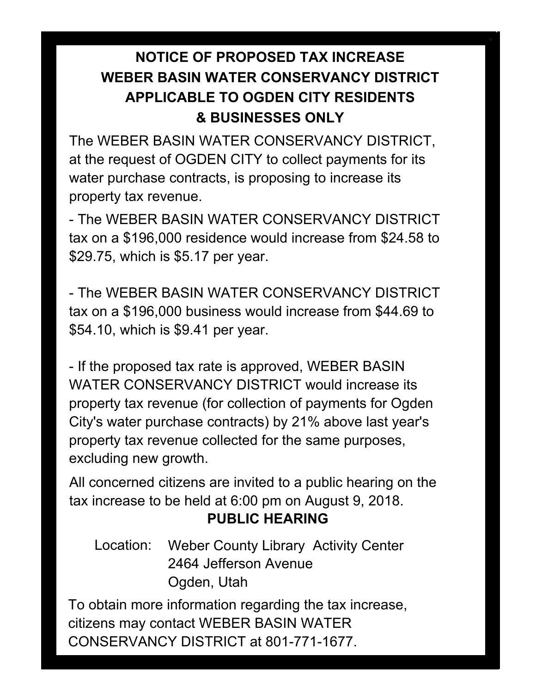## **NOTICE OF PROPOSED TAX INCREASE WEBER BASIN WATER CONSERVANCY DISTRICT APPLICABLE TO OGDEN CITY RESIDENTS & BUSINESSES ONLY**

The WEBER BASIN WATER CONSERVANCY DISTRICT, at the request of OGDEN CITY to collect payments for its water purchase contracts, is proposing to increase its property tax revenue.

- The WEBER BASIN WATER CONSERVANCY DISTRICT tax on a \$196,000 residence would increase from \$24.58 to \$29.75, which is \$5.17 per year.

- The WEBER BASIN WATER CONSERVANCY DISTRICT tax on a \$196,000 business would increase from \$44.69 to \$54.10, which is \$9.41 per year.

- If the proposed tax rate is approved, WEBER BASIN WATER CONSERVANCY DISTRICT would increase its property tax revenue (for collection of payments for Ogden City's water purchase contracts) by 21% above last year's property tax revenue collected for the same purposes, excluding new growth.

All concerned citizens are invited to a public hearing on the tax increase to be held at 6:00 pm on August 9, 2018.

## **PUBLIC HEARING**

Location: Weber County Library Activity Center 2464 Jefferson Avenue Ogden, Utah

To obtain more information regarding the tax increase, citizens may contact WEBER BASIN WATER CONSERVANCY DISTRICT at 801-771-1677.